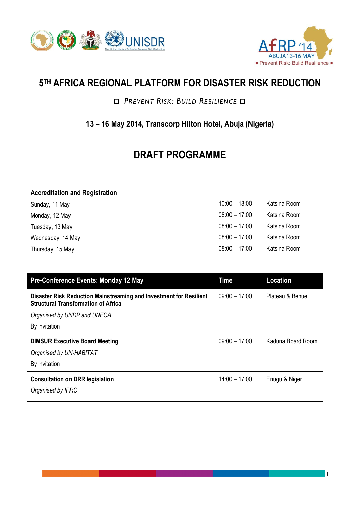



1

## **5 TH AFRICA REGIONAL PLATFORM FOR DISASTER RISK REDUCTION**

 *PREVENT RISK: BUILD RESILIENCE* 

## **13 – 16 May 2014, Transcorp Hilton Hotel, Abuja (Nigeria)**

## **DRAFT PROGRAMME**

| <b>Accreditation and Registration</b> |                 |              |
|---------------------------------------|-----------------|--------------|
| Sunday, 11 May                        | $10:00 - 18:00$ | Katsina Room |
| Monday, 12 May                        | $08:00 - 17:00$ | Katsina Room |
| Tuesday, 13 May                       | $08:00 - 17:00$ | Katsina Room |
| Wednesday, 14 May                     | $08:00 - 17:00$ | Katsina Room |
| Thursday, 15 May                      | $08:00 - 17:00$ | Katsina Room |

| Time            | <b>Location</b>   |
|-----------------|-------------------|
| $09:00 - 17:00$ | Plateau & Benue   |
|                 |                   |
|                 |                   |
| $09:00 - 17:00$ | Kaduna Board Room |
|                 |                   |
|                 |                   |
| $14:00 - 17:00$ | Enugu & Niger     |
|                 |                   |
|                 |                   |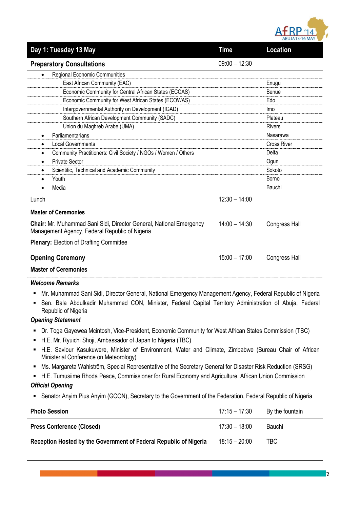

| Day 1: Tuesday 13 May                                                                                                                                                                                                                                                                                                                | <b>Time</b>     | Location             |
|--------------------------------------------------------------------------------------------------------------------------------------------------------------------------------------------------------------------------------------------------------------------------------------------------------------------------------------|-----------------|----------------------|
| <b>Preparatory Consultations</b>                                                                                                                                                                                                                                                                                                     | $09:00 - 12:30$ |                      |
| Regional Economic Communities                                                                                                                                                                                                                                                                                                        |                 |                      |
| East African Community (EAC)                                                                                                                                                                                                                                                                                                         |                 | Enugu                |
| Economic Community for Central African States (ECCAS)                                                                                                                                                                                                                                                                                |                 | Benue                |
| Economic Community for West African States (ECOWAS)                                                                                                                                                                                                                                                                                  |                 | Edo                  |
| Intergovernmental Authority on Development (IGAD)                                                                                                                                                                                                                                                                                    |                 | <b>Imo</b>           |
| Southern African Development Community (SADC)                                                                                                                                                                                                                                                                                        |                 | Plateau              |
| Union du Maghreb Arabe (UMA)                                                                                                                                                                                                                                                                                                         |                 | <b>Rivers</b>        |
| Parliamentarians<br>$\bullet$                                                                                                                                                                                                                                                                                                        |                 | Nasarawa             |
| <b>Local Governments</b><br>٠                                                                                                                                                                                                                                                                                                        |                 | <b>Cross River</b>   |
| Community Practitioners: Civil Society / NGOs / Women / Others<br>$\bullet$                                                                                                                                                                                                                                                          |                 | Delta                |
| <b>Private Sector</b><br>$\bullet$                                                                                                                                                                                                                                                                                                   |                 | Ogun                 |
| Scientific, Technical and Academic Community<br>$\bullet$                                                                                                                                                                                                                                                                            |                 | Sokoto               |
| Youth<br>$\bullet$                                                                                                                                                                                                                                                                                                                   |                 | Borno                |
| Media                                                                                                                                                                                                                                                                                                                                |                 | Bauchi               |
| Lunch                                                                                                                                                                                                                                                                                                                                | $12:30 - 14:00$ |                      |
| <b>Master of Ceremonies</b>                                                                                                                                                                                                                                                                                                          |                 |                      |
| Chair: Mr. Muhammad Sani Sidi, Director General, National Emergency<br>Management Agency, Federal Republic of Nigeria                                                                                                                                                                                                                | $14:00 - 14:30$ | <b>Congress Hall</b> |
| <b>Plenary: Election of Drafting Committee</b>                                                                                                                                                                                                                                                                                       |                 |                      |
| <b>Opening Ceremony</b>                                                                                                                                                                                                                                                                                                              | $15:00 - 17:00$ | <b>Congress Hall</b> |
| <b>Master of Ceremonies</b>                                                                                                                                                                                                                                                                                                          |                 |                      |
| <b>Welcome Remarks</b>                                                                                                                                                                                                                                                                                                               |                 |                      |
| Mr. Muhammad Sani Sidi, Director General, National Emergency Management Agency, Federal Republic of Nigeria<br>Sen. Bala Abdulkadir Muhammed CON, Minister, Federal Capital Territory Administration of Abuja, Federal<br>Republic of Nigeria                                                                                        |                 |                      |
| <b>Opening Statement</b>                                                                                                                                                                                                                                                                                                             |                 |                      |
| Dr. Toga Gayewea Mcintosh, Vice-President, Economic Community for West African States Commission (TBC)<br>٠<br>H.E. Mr. Ryuichi Shoji, Ambassador of Japan to Nigeria (TBC)<br>H.E. Saviour Kasukuwere, Minister of Environment, Water and Climate, Zimbabwe (Bureau Chair of African<br>п<br>Ministerial Conference on Meteorology) |                 |                      |
| Ms. Margareta Wahlström, Special Representative of the Secretary General for Disaster Risk Reduction (SRSG)<br>п                                                                                                                                                                                                                     |                 |                      |
| H.E. Tumusiime Rhoda Peace, Commissioner for Rural Economy and Agriculture, African Union Commission                                                                                                                                                                                                                                 |                 |                      |
|                                                                                                                                                                                                                                                                                                                                      |                 |                      |
| <b>Official Opening</b>                                                                                                                                                                                                                                                                                                              |                 |                      |
| Senator Anyim Pius Anyim (GCON), Secretary to the Government of the Federation, Federal Republic of Nigeria                                                                                                                                                                                                                          |                 |                      |

| <b>Photo Session</b>                                              | 17:15 – 17:30   | By the fountain |
|-------------------------------------------------------------------|-----------------|-----------------|
| <b>Press Conference (Closed)</b>                                  | $17:30 - 18:00$ | Bauchi          |
| Reception Hosted by the Government of Federal Republic of Nigeria | $18:15 - 20:00$ | <b>TBC</b>      |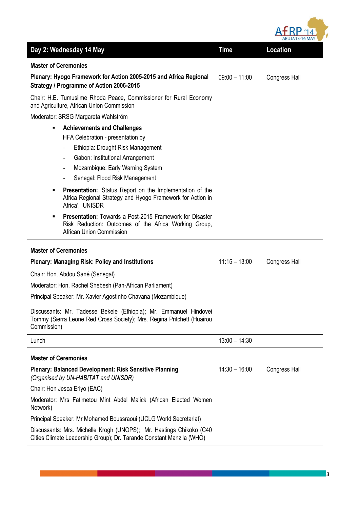| fRP              |                |
|------------------|----------------|
| $\triangleright$ | Δ              |
|                  | ABUJA13-16 MAY |

|                                                                                                                                                                                                                                                                                                          |                 | <b>ADUJA 13-10 MIAT</b> |
|----------------------------------------------------------------------------------------------------------------------------------------------------------------------------------------------------------------------------------------------------------------------------------------------------------|-----------------|-------------------------|
| Day 2: Wednesday 14 May                                                                                                                                                                                                                                                                                  | <b>Time</b>     | <b>Location</b>         |
| <b>Master of Ceremonies</b>                                                                                                                                                                                                                                                                              |                 |                         |
| Plenary: Hyogo Framework for Action 2005-2015 and Africa Regional<br>Strategy / Programme of Action 2006-2015                                                                                                                                                                                            | $09:00 - 11:00$ | <b>Congress Hall</b>    |
| Chair: H.E. Tumusiime Rhoda Peace, Commissioner for Rural Economy<br>and Agriculture, African Union Commission                                                                                                                                                                                           |                 |                         |
| Moderator: SRSG Margareta Wahlström                                                                                                                                                                                                                                                                      |                 |                         |
| <b>Achievements and Challenges</b><br>٠<br>HFA Celebration - presentation by<br>Ethiopia: Drought Risk Management<br>$\qquad \qquad -$<br>Gabon: Institutional Arrangement<br>$\overline{\phantom{a}}$<br>Mozambique: Early Warning System<br>Senegal: Flood Risk Management<br>$\overline{\phantom{0}}$ |                 |                         |
| <b>Presentation:</b> 'Status Report on the Implementation of the<br>٠<br>Africa Regional Strategy and Hyogo Framework for Action in<br>Africa', UNISDR                                                                                                                                                   |                 |                         |
| <b>Presentation:</b> Towards a Post-2015 Framework for Disaster<br>٠<br>Risk Reduction: Outcomes of the Africa Working Group,<br>African Union Commission                                                                                                                                                |                 |                         |
| <b>Master of Ceremonies</b>                                                                                                                                                                                                                                                                              |                 |                         |
| <b>Plenary: Managing Risk: Policy and Institutions</b>                                                                                                                                                                                                                                                   | $11:15 - 13:00$ | <b>Congress Hall</b>    |
| Chair: Hon. Abdou Sané (Senegal)                                                                                                                                                                                                                                                                         |                 |                         |
| Moderator: Hon. Rachel Shebesh (Pan-African Parliament)                                                                                                                                                                                                                                                  |                 |                         |
| Principal Speaker: Mr. Xavier Agostinho Chavana (Mozambique)                                                                                                                                                                                                                                             |                 |                         |
| Discussants: Mr. Tadesse Bekele (Ethiopia); Mr. Emmanuel Hindovei<br>Tommy (Sierra Leone Red Cross Society); Mrs. Regina Pritchett (Huairou<br>Commission)                                                                                                                                               |                 |                         |
| Lunch                                                                                                                                                                                                                                                                                                    | $13:00 - 14:30$ |                         |
| <b>Master of Ceremonies</b>                                                                                                                                                                                                                                                                              |                 |                         |
| <b>Plenary: Balanced Development: Risk Sensitive Planning</b><br>(Organised by UN-HABITAT and UNISDR)                                                                                                                                                                                                    | $14:30 - 16:00$ | <b>Congress Hall</b>    |
| Chair: Hon Jesca Eriyo (EAC)                                                                                                                                                                                                                                                                             |                 |                         |
| Moderator: Mrs Fatimetou Mint Abdel Malick (African Elected Women<br>Network)                                                                                                                                                                                                                            |                 |                         |
| Principal Speaker: Mr Mohamed Boussraoui (UCLG World Secretariat)                                                                                                                                                                                                                                        |                 |                         |
| Discussants: Mrs. Michelle Krogh (UNOPS); Mr. Hastings Chikoko (C40<br>Cities Climate Leadership Group); Dr. Tarande Constant Manzila (WHO)                                                                                                                                                              |                 |                         |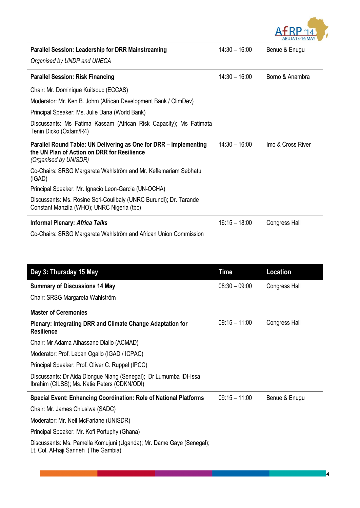

| <b>Parallel Session: Leadership for DRR Mainstreaming</b><br>Organised by UNDP and UNECA                                                  | $14:30 - 16:00$ | Benue & Enugu        |
|-------------------------------------------------------------------------------------------------------------------------------------------|-----------------|----------------------|
| <b>Parallel Session: Risk Financing</b>                                                                                                   | $14:30 - 16:00$ | Borno & Anambra      |
| Chair: Mr. Dominique Kuitsouc (ECCAS)                                                                                                     |                 |                      |
| Moderator: Mr. Ken B. Johm (African Development Bank / ClimDev)                                                                           |                 |                      |
| Principal Speaker: Ms. Julie Dana (World Bank)                                                                                            |                 |                      |
| Discussants: Ms Fatima Kassam (African Risk Capacity); Ms Fatimata<br>Tenin Dicko (Oxfam/R4)                                              |                 |                      |
| Parallel Round Table: UN Delivering as One for DRR - Implementing<br>the UN Plan of Action on DRR for Resilience<br>(Organised by UNISDR) | $14:30 - 16:00$ | Imo & Cross River    |
| Co-Chairs: SRSG Margareta Wahlström and Mr. Keflemariam Sebhatu<br>(IGAD)                                                                 |                 |                      |
| Principal Speaker: Mr. Ignacio Leon-Garcia (UN-OCHA)                                                                                      |                 |                      |
| Discussants: Ms. Rosine Sori-Coulibaly (UNRC Burundi); Dr. Tarande<br>Constant Manzila (WHO); UNRC Nigeria (tbc)                          |                 |                      |
| <b>Informal Plenary: Africa Talks</b>                                                                                                     | $16:15 - 18:00$ | <b>Congress Hall</b> |
| Co-Chairs: SRSG Margareta Wahlström and African Union Commission                                                                          |                 |                      |

| Time            | Location             |
|-----------------|----------------------|
| $08:30 - 09:00$ | <b>Congress Hall</b> |
|                 |                      |
|                 |                      |
| $09:15 - 11:00$ | Congress Hall        |
|                 |                      |
|                 |                      |
|                 |                      |
|                 |                      |
| $09:15 - 11:00$ | Benue & Enugu        |
|                 |                      |
|                 |                      |
|                 |                      |
|                 |                      |
|                 |                      |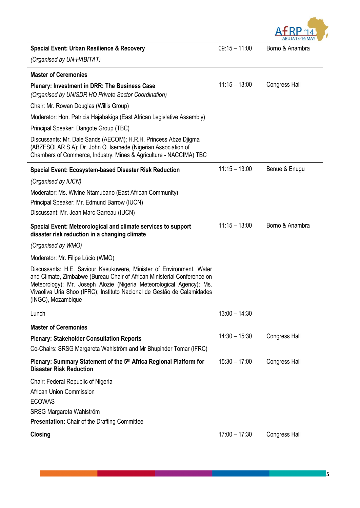

| Special Event: Urban Resilience & Recovery                                                                                                                                                                                                                                                                                | $09:15 - 11:00$ | Borno & Anambra      |
|---------------------------------------------------------------------------------------------------------------------------------------------------------------------------------------------------------------------------------------------------------------------------------------------------------------------------|-----------------|----------------------|
| (Organised by UN-HABITAT)                                                                                                                                                                                                                                                                                                 |                 |                      |
| <b>Master of Ceremonies</b>                                                                                                                                                                                                                                                                                               |                 |                      |
| <b>Plenary: Investment in DRR: The Business Case</b><br>(Organised by UNISDR HQ Private Sector Coordination)                                                                                                                                                                                                              | $11:15 - 13:00$ | <b>Congress Hall</b> |
| Chair: Mr. Rowan Douglas (Willis Group)                                                                                                                                                                                                                                                                                   |                 |                      |
| Moderator: Hon. Patricia Hajabakiga (East African Legislative Assembly)                                                                                                                                                                                                                                                   |                 |                      |
| Principal Speaker: Dangote Group (TBC)                                                                                                                                                                                                                                                                                    |                 |                      |
| Discussants: Mr. Dale Sands (AECOM); H.R.H. Princess Abze Djigma<br>(ABZESOLAR S.A); Dr. John O. Isemede (Nigerian Association of<br>Chambers of Commerce, Industry, Mines & Agriculture - NACCIMA) TBC                                                                                                                   |                 |                      |
| <b>Special Event: Ecosystem-based Disaster Risk Reduction</b>                                                                                                                                                                                                                                                             | $11:15 - 13:00$ | Benue & Enugu        |
| (Organised by IUCN)                                                                                                                                                                                                                                                                                                       |                 |                      |
| Moderator: Ms. Wivine Ntamubano (East African Community)                                                                                                                                                                                                                                                                  |                 |                      |
| Principal Speaker: Mr. Edmund Barrow (IUCN)                                                                                                                                                                                                                                                                               |                 |                      |
| Discussant: Mr. Jean Marc Garreau (IUCN)                                                                                                                                                                                                                                                                                  |                 |                      |
| Special Event: Meteorological and climate services to support<br>disaster risk reduction in a changing climate                                                                                                                                                                                                            | $11:15 - 13:00$ | Borno & Anambra      |
| (Organised by WMO)                                                                                                                                                                                                                                                                                                        |                 |                      |
| Moderator: Mr. Filipe Lúcio (WMO)                                                                                                                                                                                                                                                                                         |                 |                      |
| Discussants: H.E. Saviour Kasukuwere, Minister of Environment, Water<br>and Climate, Zimbabwe (Bureau Chair of African Ministerial Conference on<br>Meteorology); Mr. Joseph Alozie (Nigeria Meteorological Agency); Ms.<br>Vivaoliva Uria Shoo (IFRC); Instituto Nacional de Gestão de Calamidades<br>(INGC), Mozambique |                 |                      |
| Lunch                                                                                                                                                                                                                                                                                                                     | $13:00 - 14:30$ |                      |
| <b>Master of Ceremonies</b>                                                                                                                                                                                                                                                                                               |                 |                      |
| <b>Plenary: Stakeholder Consultation Reports</b>                                                                                                                                                                                                                                                                          | $14:30 - 15:30$ | <b>Congress Hall</b> |
| Co-Chairs: SRSG Margareta Wahlström and Mr Bhupinder Tomar (IFRC)                                                                                                                                                                                                                                                         |                 |                      |
| Plenary: Summary Statement of the 5th Africa Regional Platform for<br><b>Disaster Risk Reduction</b>                                                                                                                                                                                                                      | $15:30 - 17:00$ | <b>Congress Hall</b> |
| Chair: Federal Republic of Nigeria                                                                                                                                                                                                                                                                                        |                 |                      |
| <b>African Union Commission</b>                                                                                                                                                                                                                                                                                           |                 |                      |
| <b>ECOWAS</b>                                                                                                                                                                                                                                                                                                             |                 |                      |
| SRSG Margareta Wahlström                                                                                                                                                                                                                                                                                                  |                 |                      |
| <b>Presentation:</b> Chair of the Drafting Committee                                                                                                                                                                                                                                                                      |                 |                      |
| <b>Closing</b>                                                                                                                                                                                                                                                                                                            | $17:00 - 17:30$ | <b>Congress Hall</b> |